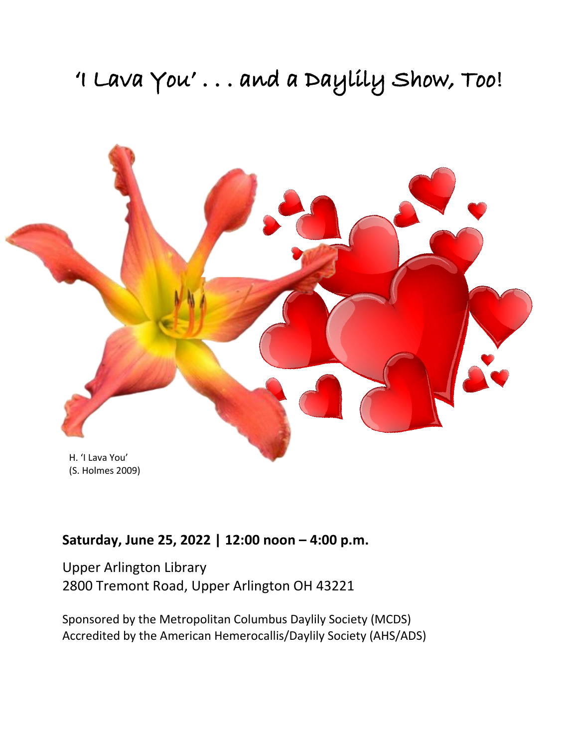# 'I Lava You'... and a Daylily Show, Too!



## **Saturday, June 25, 2022 | 12:00 noon – 4:00 p.m.**

Upper Arlington Library 2800 Tremont Road, Upper Arlington OH 43221

Sponsored by the Metropolitan Columbus Daylily Society (MCDS) Accredited by the American Hemerocallis/Daylily Society (AHS/ADS)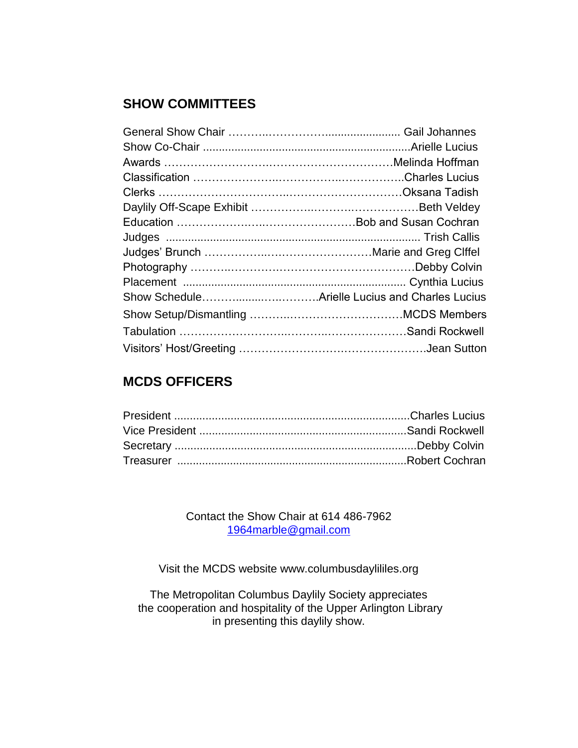## **SHOW COMMITTEES**

## **MCDS OFFICERS**

Contact the Show Chair at 614 486-7962 [1964marble@gmail.com](mailto:1964marble@gmail.com)

Visit the MCDS website www.columbusdaylililes.org

The Metropolitan Columbus Daylily Society appreciates the cooperation and hospitality of the Upper Arlington Library in presenting this daylily show.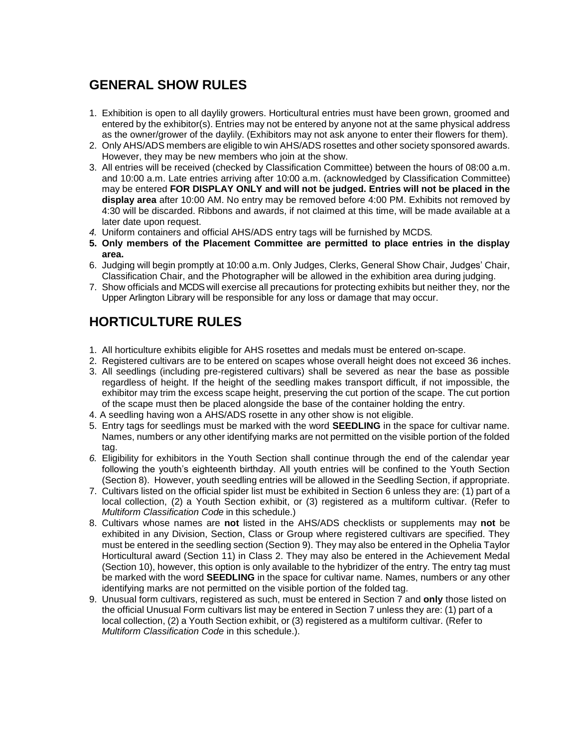## **GENERAL SHOW RULES**

- 1. Exhibition is open to all daylily growers. Horticultural entries must have been grown, groomed and entered by the exhibitor(s). Entries may not be entered by anyone not at the same physical address as the owner/grower of the daylily. (Exhibitors may not ask anyone to enter their flowers for them).
- 2. Only AHS/ADS members are eligible to win AHS/ADS rosettes and other society sponsored awards. However, they may be new members who join at the show.
- 3. All entries will be received (checked by Classification Committee) between the hours of 08:00 a.m. and 10:00 a.m. Late entries arriving after 10:00 a.m. (acknowledged by Classification Committee) may be entered **FOR DISPLAY ONLY and will not be judged. Entries will not be placed in the display area** after 10:00 AM. No entry may be removed before 4:00 PM. Exhibits not removed by 4:30 will be discarded. Ribbons and awards, if not claimed at this time, will be made available at a later date upon request.
- *4.* Uniform containers and official AHS/ADS entry tags will be furnished by MCDS*.*
- **5. Only members of the Placement Committee are permitted to place entries in the display area.**
- 6. Judging will begin promptly at 10:00 a.m. Only Judges, Clerks, General Show Chair, Judges' Chair, Classification Chair, and the Photographer will be allowed in the exhibition area during judging.
- 7. Show officials and MCDS will exercise all precautions for protecting exhibits but neither they, nor the Upper Arlington Library will be responsible for any loss or damage that may occur.

## **HORTICULTURE RULES**

- 1. All horticulture exhibits eligible for AHS rosettes and medals must be entered on-scape.
- 2. Registered cultivars are to be entered on scapes whose overall height does not exceed 36 inches.
- 3. All seedlings (including pre-registered cultivars) shall be severed as near the base as possible regardless of height. If the height of the seedling makes transport difficult, if not impossible, the exhibitor may trim the excess scape height, preserving the cut portion of the scape. The cut portion of the scape must then be placed alongside the base of the container holding the entry.
- 4. A seedling having won a AHS/ADS rosette in any other show is not eligible.
- 5. Entry tags for seedlings must be marked with the word **SEEDLING** in the space for cultivar name. Names, numbers or any other identifying marks are not permitted on the visible portion of the folded tag.
- *6.* Eligibility for exhibitors in the Youth Section shall continue through the end of the calendar year following the youth's eighteenth birthday. All youth entries will be confined to the Youth Section (Section 8). However, youth seedling entries will be allowed in the Seedling Section, if appropriate.
- 7. Cultivars listed on the official spider list must be exhibited in Section 6 unless they are: (1) part of a local collection, (2) a Youth Section exhibit, or (3) registered as a multiform cultivar. (Refer to *Multiform Classification Code* in this schedule.)
- 8. Cultivars whose names are **not** listed in the AHS/ADS checklists or supplements may **not** be exhibited in any Division, Section, Class or Group where registered cultivars are specified. They must be entered in the seedling section (Section 9). They may also be entered in the Ophelia Taylor Horticultural award (Section 11) in Class 2. They may also be entered in the Achievement Medal (Section 10), however, this option is only available to the hybridizer of the entry. The entry tag must be marked with the word **SEEDLING** in the space for cultivar name. Names, numbers or any other identifying marks are not permitted on the visible portion of the folded tag.
- 9. Unusual form cultivars, registered as such, must be entered in Section 7 and **only** those listed on the official Unusual Form cultivars list may be entered in Section 7 unless they are: (1) part of a local collection, (2) a Youth Section exhibit, or (3) registered as a multiform cultivar. (Refer to *Multiform Classification Code* in this schedule.).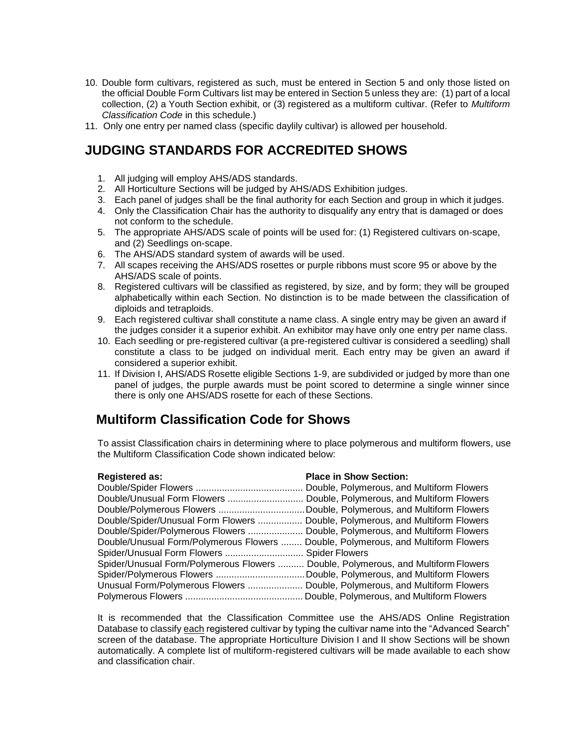- 10. Double form cultivars, registered as such, must be entered in Section 5 and only those listed on the official Double Form Cultivars list may be entered in Section 5 unless they are: (1) part of a local collection, (2) a Youth Section exhibit, or (3) registered as a multiform cultivar. (Refer to *Multiform Classification Code* in this schedule.)
- 11. Only one entry per named class (specific daylily cultivar) is allowed per household.

## **JUDGING STANDARDS FOR ACCREDITED SHOWS**

- 1. All judging will employ AHS/ADS standards.
- 2. All Horticulture Sections will be judged by AHS/ADS Exhibition judges.
- 3. Each panel of judges shall be the final authority for each Section and group in which it judges.
- 4. Only the Classification Chair has the authority to disqualify any entry that is damaged or does not conform to the schedule.
- 5. The appropriate AHS/ADS scale of points will be used for: (1) Registered cultivars on-scape, and (2) Seedlings on-scape.
- 6. The AHS/ADS standard system of awards will be used.
- 7. All scapes receiving the AHS/ADS rosettes or purple ribbons must score 95 or above by the AHS/ADS scale of points.
- 8. Registered cultivars will be classified as registered, by size, and by form; they will be grouped alphabetically within each Section. No distinction is to be made between the classification of diploids and tetraploids.
- 9. Each registered cultivar shall constitute a name class. A single entry may be given an award if the judges consider it a superior exhibit. An exhibitor may have only one entry per name class.
- 10. Each seedling or pre-registered cultivar (a pre-registered cultivar is considered a seedling) shall constitute a class to be judged on individual merit. Each entry may be given an award if considered a superior exhibit.
- 11. If Division I, AHS/ADS Rosette eligible Sections 1-9, are subdivided or judged by more than one panel of judges, the purple awards must be point scored to determine a single winner since there is only one AHS/ADS rosette for each of these Sections.

## **Multiform Classification Code for Shows**

To assist Classification chairs in determining where to place polymerous and multiform flowers, use the Multiform Classification Code shown indicated below:

| <b>Registered as:</b>                                                             | <b>Place in Show Section:</b>             |
|-----------------------------------------------------------------------------------|-------------------------------------------|
|                                                                                   | Double, Polymerous, and Multiform Flowers |
|                                                                                   |                                           |
| Double/Polymerous Flowers Double, Polymerous, and Multiform Flowers               |                                           |
| Double/Spider/Unusual Form Flowers  Double, Polymerous, and Multiform Flowers     |                                           |
| Double/Spider/Polymerous Flowers  Double, Polymerous, and Multiform Flowers       |                                           |
| Double/Unusual Form/Polymerous Flowers  Double, Polymerous, and Multiform Flowers |                                           |
| Spider/Unusual Form Flowers  Spider Flowers                                       |                                           |
| Spider/Unusual Form/Polymerous Flowers  Double, Polymerous, and Multiform Flowers |                                           |
| Spider/Polymerous Flowers Double, Polymerous, and Multiform Flowers               |                                           |
| Unusual Form/Polymerous Flowers  Double, Polymerous, and Multiform Flowers        |                                           |
|                                                                                   |                                           |

It is recommended that the Classification Committee use the AHS/ADS Online Registration Database to classify each registered cultivar by typing the cultivar name into the "Advanced Search" screen of the database. The appropriate Horticulture Division I and II show Sections will be shown automatically. A complete list of multiform-registered cultivars will be made available to each show and classification chair.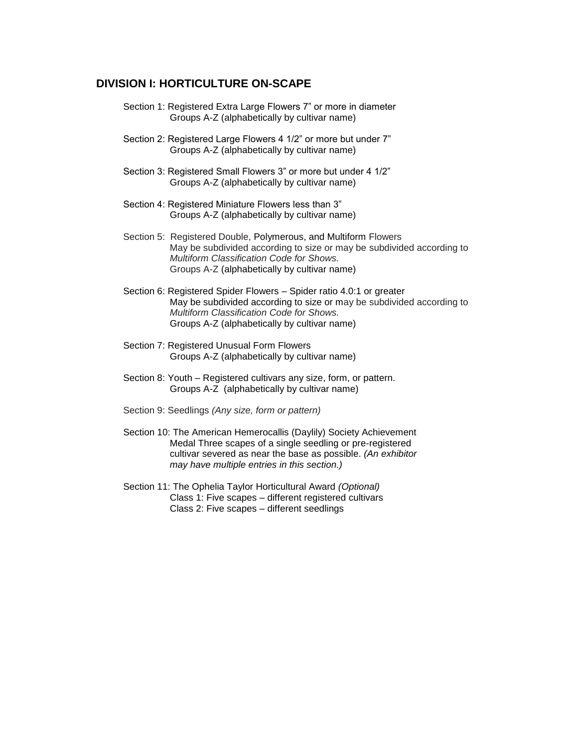#### **DIVISION I: HORTICULTURE ON-SCAPE**

- Section 1: Registered Extra Large Flowers 7" or more in diameter Groups A-Z (alphabetically by cultivar name)
- Section 2: Registered Large Flowers 4 1/2" or more but under 7" Groups A-Z (alphabetically by cultivar name)
- Section 3: Registered Small Flowers 3" or more but under 4 1/2" Groups A-Z (alphabetically by cultivar name)
- Section 4: Registered Miniature Flowers less than 3" Groups A-Z (alphabetically by cultivar name)
- Section 5: Registered Double, Polymerous, and Multiform Flowers May be subdivided according to size or may be subdivided according to *Multiform Classification Code for Shows.*  Groups A-Z (alphabetically by cultivar name)
- Section 6: Registered Spider Flowers Spider ratio 4.0:1 or greater May be subdivided according to size or may be subdivided according to *Multiform Classification Code for Shows.*  Groups A-Z (alphabetically by cultivar name)
- Section 7: Registered Unusual Form Flowers Groups A-Z (alphabetically by cultivar name)
- Section 8: Youth Registered cultivars any size, form, or pattern. Groups A-Z (alphabetically by cultivar name)
- Section 9: Seedlings *(Any size, form or pattern)*
- Section 10: The American Hemerocallis (Daylily) Society Achievement Medal Three scapes of a single seedling or pre-registered cultivar severed as near the base as possible. *(An exhibitor may have multiple entries in this section.)*
- Section 11: The Ophelia Taylor Horticultural Award *(Optional)*  Class 1: Five scapes – different registered cultivars Class 2: Five scapes – different seedlings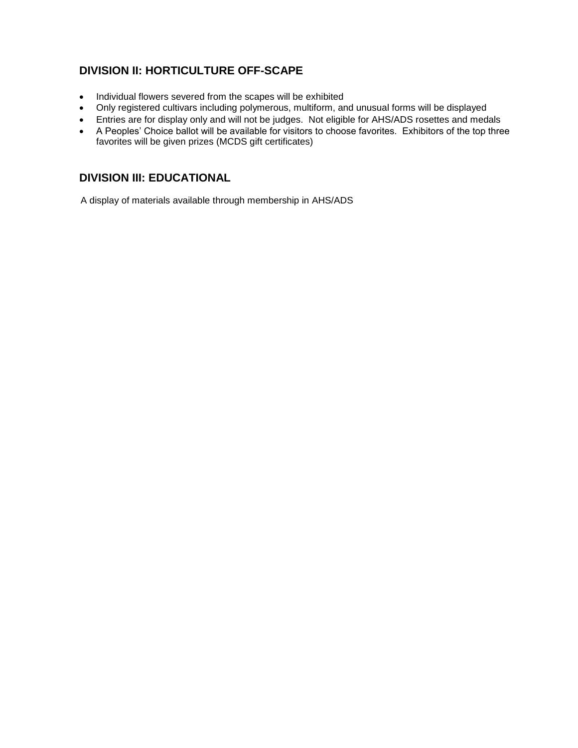#### **DIVISION II: HORTICULTURE OFF-SCAPE**

- Individual flowers severed from the scapes will be exhibited
- Only registered cultivars including polymerous, multiform, and unusual forms will be displayed
- Entries are for display only and will not be judges. Not eligible for AHS/ADS rosettes and medals
- A Peoples' Choice ballot will be available for visitors to choose favorites. Exhibitors of the top three favorites will be given prizes (MCDS gift certificates)

#### **DIVISION III: EDUCATIONAL**

A display of materials available through membership in AHS/ADS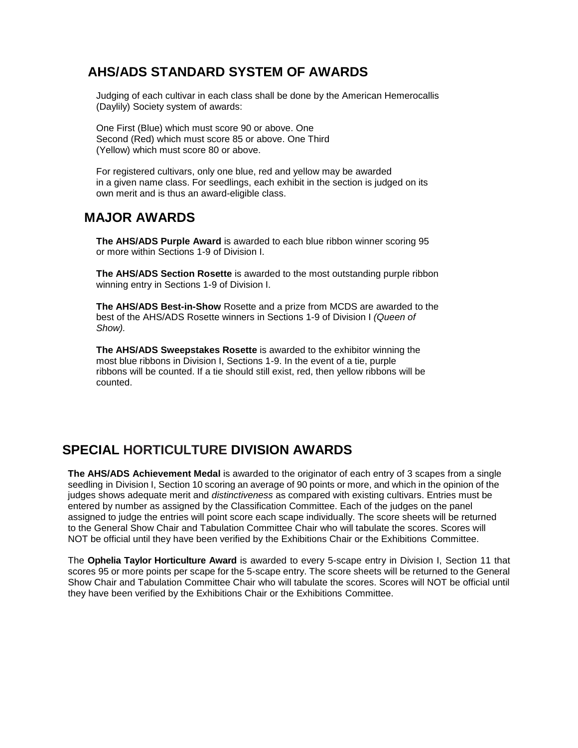## **AHS/ADS STANDARD SYSTEM OF AWARDS**

Judging of each cultivar in each class shall be done by the American Hemerocallis (Daylily) Society system of awards:

One First (Blue) which must score 90 or above. One Second (Red) which must score 85 or above. One Third (Yellow) which must score 80 or above.

For registered cultivars, only one blue, red and yellow may be awarded in a given name class. For seedlings, each exhibit in the section is judged on its own merit and is thus an award-eligible class.

## **MAJOR AWARDS**

**The AHS/ADS Purple Award** is awarded to each blue ribbon winner scoring 95 or more within Sections 1-9 of Division I.

**The AHS/ADS Section Rosette** is awarded to the most outstanding purple ribbon winning entry in Sections 1-9 of Division I.

**The AHS/ADS Best-in-Show** Rosette and a prize from MCDS are awarded to the best of the AHS/ADS Rosette winners in Sections 1-9 of Division I *(Queen of Show).*

**The AHS/ADS Sweepstakes Rosette** is awarded to the exhibitor winning the most blue ribbons in Division I, Sections 1-9. In the event of a tie, purple ribbons will be counted. If a tie should still exist, red, then yellow ribbons will be counted.

## **SPECIAL HORTICULTURE DIVISION AWARDS**

**The AHS/ADS Achievement Medal** is awarded to the originator of each entry of 3 scapes from a single seedling in Division I, Section 10 scoring an average of 90 points or more, and which in the opinion of the judges shows adequate merit and *distinctiveness* as compared with existing cultivars. Entries must be entered by number as assigned by the Classification Committee. Each of the judges on the panel assigned to judge the entries will point score each scape individually. The score sheets will be returned to the General Show Chair and Tabulation Committee Chair who will tabulate the scores. Scores will NOT be official until they have been verified by the Exhibitions Chair or the Exhibitions Committee.

The **Ophelia Taylor Horticulture Award** is awarded to every 5-scape entry in Division I, Section 11 that scores 95 or more points per scape for the 5-scape entry. The score sheets will be returned to the General Show Chair and Tabulation Committee Chair who will tabulate the scores. Scores will NOT be official until they have been verified by the Exhibitions Chair or the Exhibitions Committee.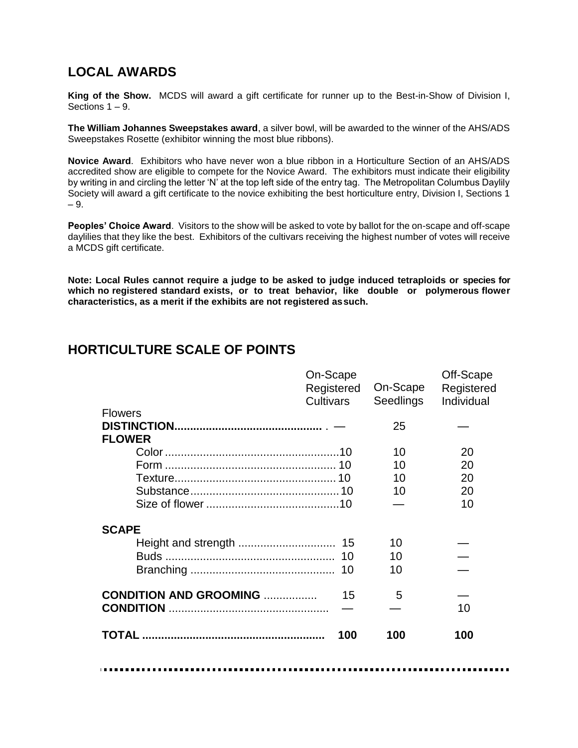## **LOCAL AWARDS**

**King of the Show.** MCDS will award a gift certificate for runner up to the Best-in-Show of Division I, Sections 1 – 9.

**The William Johannes Sweepstakes award**, a silver bowl, will be awarded to the winner of the AHS/ADS Sweepstakes Rosette (exhibitor winning the most blue ribbons).

**Novice Award**. Exhibitors who have never won a blue ribbon in a Horticulture Section of an AHS/ADS accredited show are eligible to compete for the Novice Award. The exhibitors must indicate their eligibility by writing in and circling the letter 'N' at the top left side of the entry tag. The Metropolitan Columbus Daylily Society will award a gift certificate to the novice exhibiting the best horticulture entry, Division I, Sections 1 – 9.

**Peoples' Choice Award**. Visitors to the show will be asked to vote by ballot for the on-scape and off-scape daylilies that they like the best. Exhibitors of the cultivars receiving the highest number of votes will receive a MCDS gift certificate.

**Note: Local Rules cannot require a judge to be asked to judge induced tetraploids or species for which no registered standard exists, or to treat behavior, like double or polymerous flower characteristics, as a merit if the exhibits are not registered assuch.**

## **HORTICULTURE SCALE OF POINTS**

|                                | On-Scape                       | On-Scape         | Off-Scape                |
|--------------------------------|--------------------------------|------------------|--------------------------|
|                                | Registered<br><b>Cultivars</b> | <b>Seedlings</b> | Registered<br>Individual |
| <b>Flowers</b>                 |                                |                  |                          |
|                                |                                | 25               |                          |
| <b>FLOWER</b>                  |                                |                  |                          |
|                                |                                | 10               | 20                       |
|                                |                                | 10               | 20                       |
|                                |                                | 10               | 20                       |
|                                |                                | 10               | 20                       |
|                                |                                |                  | 10                       |
| <b>SCAPE</b>                   |                                |                  |                          |
|                                |                                | 10               |                          |
|                                |                                | 10               |                          |
|                                |                                | 10               |                          |
| <b>CONDITION AND GROOMING </b> | 15                             | 5                |                          |
| <b>CONDITION</b>               |                                |                  | 10                       |
|                                | 100                            | 100              | 100                      |
|                                |                                |                  |                          |
|                                |                                |                  |                          |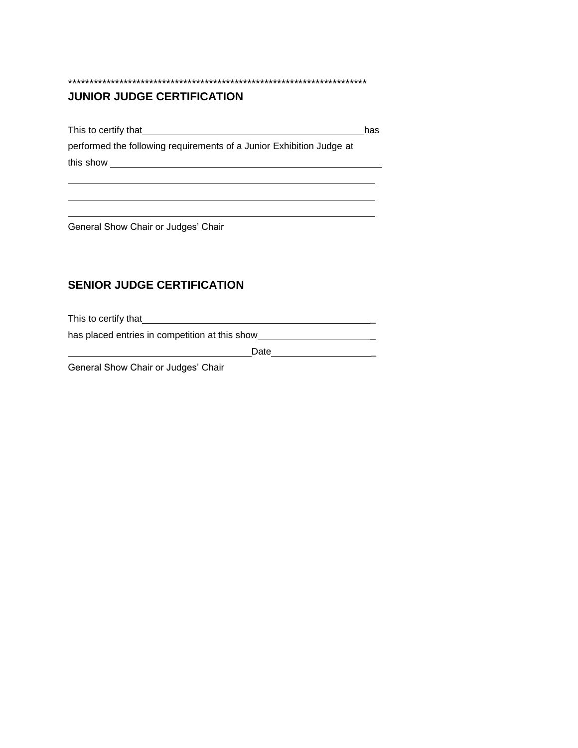## **JUNIOR JUDGE CERTIFICATION**

This to certify that has a state of the state of the state of the state of the state of the state of the state of the state of the state of the state of the state of the state of the state of the state of the state of the performed the following requirements of a Junior Exhibition Judge at this show

<u> 1980 - Johann Barn, fransk politik (f. 1980)</u>

\*\*\*\*\*\*\*\*\*\*\*\*\*\*\*\*\*\*\*\*\*\*\*\*\*\*\*\*\*\*\*\*\*\*\*\*\*\*\*\*\*\*\*\*\*\*\*\*\*\*\*\*\*\*\*\*\*\*\*\*\*\*\*\*\*\*\*\*\*\*

General Show Chair or Judges' Chair

## **SENIOR JUDGE CERTIFICATION**

This to certify that \_

has placed entries in competition at this show \_\_\_\_\_\_\_\_\_\_\_\_\_\_\_\_\_\_\_\_\_\_\_\_\_\_\_\_\_\_\_\_\_

Date \_

General Show Chair or Judges' Chair